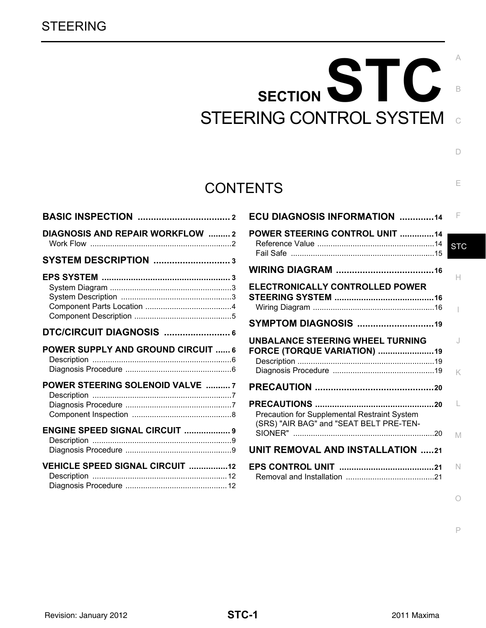# SECTION STC STEERING CONTROL SYSTEM

# **CONTENTS**

| DIAGNOSIS AND REPAIR WORKFLOW  2          |  |
|-------------------------------------------|--|
| SYSTEM DESCRIPTION 3                      |  |
|                                           |  |
| DTC/CIRCUIT DIAGNOSIS  6                  |  |
| <b>POWER SUPPLY AND GROUND CIRCUIT  6</b> |  |
| POWER STEERING SOLENOID VALVE  7          |  |
| <b>ENGINE SPEED SIGNAL CIRCUIT  9</b>     |  |
|                                           |  |

| <b>ECU DIAGNOSIS INFORMATION 14</b>                                                     | F          |
|-----------------------------------------------------------------------------------------|------------|
| POWER STEERING CONTROL UNIT 14                                                          | <b>STC</b> |
|                                                                                         | н          |
| ELECTRONICALLY CONTROLLED POWER                                                         |            |
| SYMPTOM DIAGNOSIS 19                                                                    |            |
| <b>UNBALANCE STEERING WHEEL TURNING</b><br>FORCE (TORQUE VARIATION) 19                  | J<br>K     |
|                                                                                         |            |
| Precaution for Supplemental Restraint System<br>(SRS) "AIR BAG" and "SEAT BELT PRE-TEN- |            |
|                                                                                         | M          |
| <b>UNIT REMOVAL AND INSTALLATION 21</b>                                                 |            |
|                                                                                         | N          |

P

O

 $\overline{C}$ 

B

 $\Box$ 

E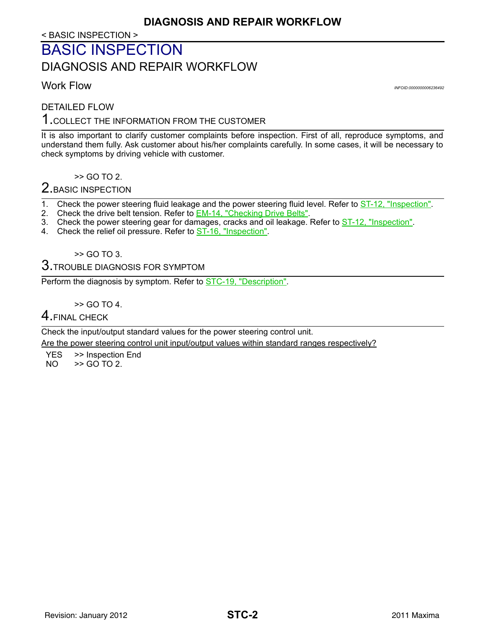< BASIC INSPECTION >

# <span id="page-1-1"></span><span id="page-1-0"></span>BASIC INSPECTION DIAGNOSIS AND REPAIR WORKFLOW

<span id="page-1-2"></span>Work Flow *INFOID:0000000006236492*

DETAILED FLOW

1.COLLECT THE INFORMATION FROM THE CUSTOMER

It is also important to clarify customer complaints before inspection. First of all, reproduce symptoms, and understand them fully. Ask customer about his/her complaints carefully. In some cases, it will be necessary to check symptoms by driving vehicle with customer.

>> GO TO 2.

2. BASIC INSPECTION

1. Check the power steering fluid leakage and the power steering fluid level. Refer to **ST-12**, "Inspection".

- 2. Check the drive belt tension. Refer to **EM-14, "Checking Drive Belts"**.
- 3. Check the power steering gear for damages, cracks and oil leakage. Refer to **ST-12**, "Inspection".
- 4. Check the relief oil pressure. Refer to **ST-16**, "Inspection".

>> GO TO 3.

 $3.$ TROUBLE DIAGNOSIS FOR SYMPTOM

Perform the diagnosis by symptom. Refer to [STC-19, "Description".](#page-18-2)

>> GO TO 4.

4.FINAL CHECK

Check the input/output standard values for the power steering control unit.

Are the power steering control unit input/output values within standard ranges respectively?

 $YES$   $\gg$  Inspection End<br>NO  $\gg$  GO TO 2.

 $>$  GO TO 2.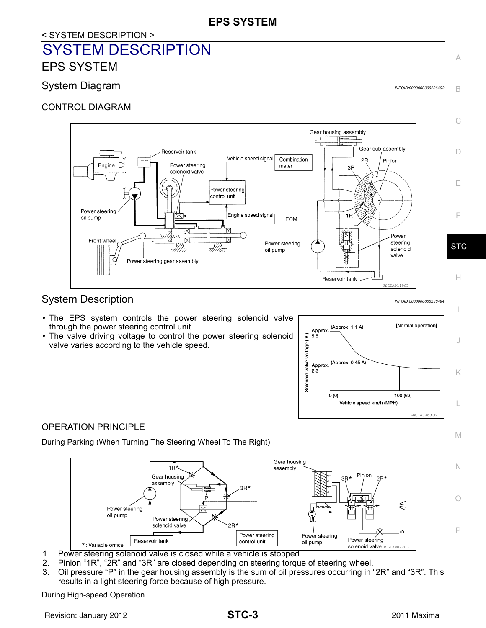## **EPS SYSTEM**

# <span id="page-2-0"></span>< SYSTEM DESCRIPTION > SYSTEM DESCRIPTION EPS SYSTEM

## <span id="page-2-2"></span><span id="page-2-1"></span>System Diagram *Integram* **Integral Control Control Control Control Control Control Control Control Control Control Control Control Control Control Control Control Control Control Control Control Control Control Control Co**

CONTROL DIAGRAM



# <span id="page-2-3"></span>System Description *INFOID:000000006236494*

- The EPS system controls the power steering solenoid valve through the power steering control unit.
- The valve driving voltage to control the power steering solenoid valve varies according to the vehicle speed.



#### OPERATION PRINCIPLE

During Parking (When Turning The Steering Wheel To The Right)



- 1. Power steering solenoid valve is closed while a vehicle is stopped.
- 2. Pinion "1R", "2R" and "3R" are closed depending on steering torque of steering wheel.
- 3. Oil pressure "P" in the gear housing assembly is the sum of oil pressures occurring in "2R" and "3R". This results in a light steering force because of high pressure.

During High-speed Operation

A

B

I

J

K

L

M

N

O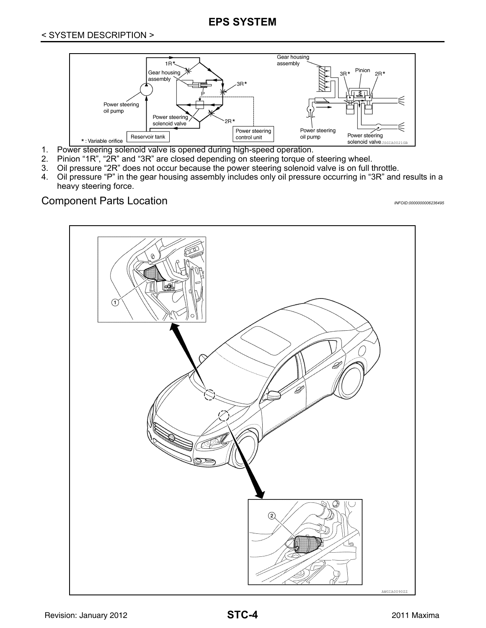# **EPS SYSTEM**



- 1. Power steering solenoid valve is opened during high-speed operation.
- 2. Pinion "1R", "2R" and "3R" are closed depending on steering torque of steering wheel.
- 3. Oil pressure "2R" does not occur because the power steering solenoid valve is on full throttle.
- 4. Oil pressure "P" in the gear housing assembly includes only oil pressure occurring in "3R" and results in a heavy steering force.

# <span id="page-3-0"></span>Component Parts Location *INFOID:0000000006236495*

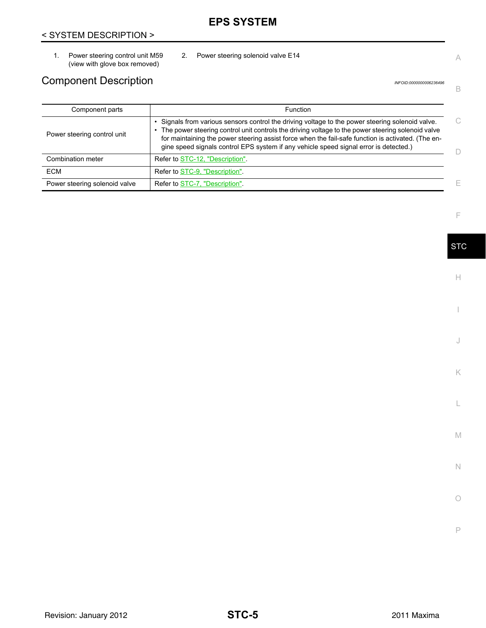# **EPS SYSTEM**

# < SYSTEM DESCRIPTION >

1. Power steering control unit M59 (view with glove box removed)

# <span id="page-4-0"></span>Component Description *INFOID:000000006236496*

2. Power steering solenoid valve E14

| Component parts               | <b>Function</b>                                                                                                                                                                                                                                                                                                                                                                                    |   |
|-------------------------------|----------------------------------------------------------------------------------------------------------------------------------------------------------------------------------------------------------------------------------------------------------------------------------------------------------------------------------------------------------------------------------------------------|---|
| Power steering control unit   | Signals from various sensors control the driving voltage to the power steering solenoid valve.<br>The power steering control unit controls the driving voltage to the power steering solenoid valve<br>for maintaining the power steering assist force when the fail-safe function is activated. (The en-<br>gine speed signals control EPS system if any vehicle speed signal error is detected.) |   |
| Combination meter             | Refer to STC-12, "Description"                                                                                                                                                                                                                                                                                                                                                                     |   |
| <b>ECM</b>                    | Refer to STC-9, "Description".                                                                                                                                                                                                                                                                                                                                                                     |   |
| Power steering solenoid valve | Refer to STC-7, "Description"                                                                                                                                                                                                                                                                                                                                                                      | F |

F

A

B

**STC** 

H

I

J

K

L

M

N

O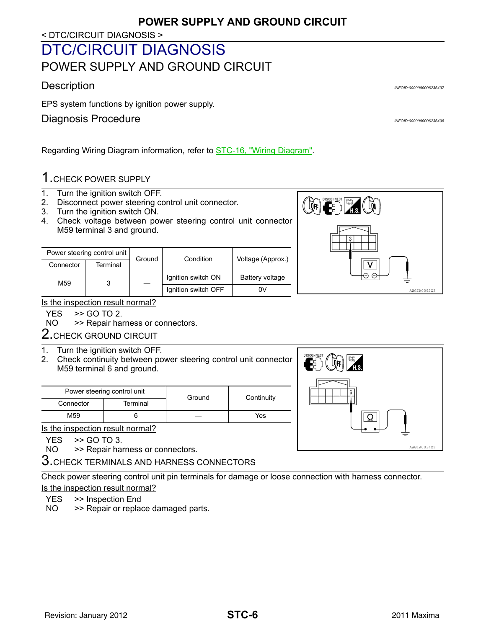#### < DTC/CIRCUIT DIAGNOSIS >

# <span id="page-5-1"></span><span id="page-5-0"></span>DTC/CIRCUIT DIAGNOSIS POWER SUPPLY AND GROUND CIRCUIT

# <span id="page-5-2"></span>Description *INFOID:0000000006236497*

EPS system functions by ignition power supply.

# <span id="page-5-3"></span>Diagnosis Procedure **Information** *INFOID:000000000236498*

Regarding Wiring Diagram information, refer to **STC-16**, "Wiring Diagram".

# 1.CHECK POWER SUPPLY

- 1. Turn the ignition switch OFF.
- 2. Disconnect power steering control unit connector.
- 3. Turn the ignition switch ON.
- 4. Check voltage between power steering control unit connector M59 terminal 3 and ground.

|           | Power steering control unit | Ground | Condition           | Voltage (Approx.) |
|-----------|-----------------------------|--------|---------------------|-------------------|
| Connector | Terminal                    |        |                     |                   |
| M59       |                             |        | Ignition switch ON  | Battery voltage   |
|           |                             |        | Ignition switch OFF | 0V                |



#### Is the inspection result normal?

 $YES$   $>>$  GO TO 2.<br>NO  $>>$  Repair ha



2. CHECK GROUND CIRCUIT

- 1. Turn the ignition switch OFF.
- 2. Check continuity between power steering control unit connector M59 terminal 6 and ground.

|           | Power steering control unit |        | Continuity |  |
|-----------|-----------------------------|--------|------------|--|
| Connector | Terminal                    | Ground |            |  |
| M59       |                             |        | Yes        |  |

Is the inspection result normal?

 $YES$   $>>$  GO TO 3.<br>NO  $>>$  Repair has

>> Repair harness or connectors.

3. CHECK TERMINALS AND HARNESS CONNECTORS

Check power steering control unit pin terminals for damage or loose connection with harness connector. Is the inspection result normal?

YES >> Inspection End

NO >> Repair or replace damaged parts.

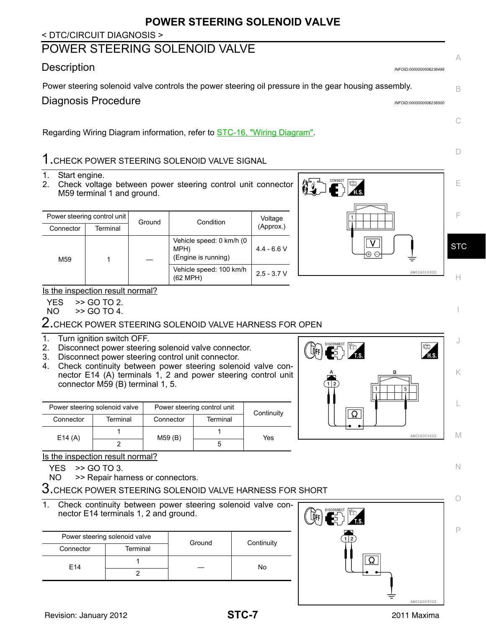# **POWER STEERING SOLENOID VALVE**

#### < DTC/CIRCUIT DIAGNOSIS >

# <span id="page-6-0"></span>POWER STEERING SOLENOID VALVE

### <span id="page-6-1"></span>Description *INFOID:0000000006236499*

<span id="page-6-2"></span>Power steering solenoid valve controls the power steering oil pressure in the gear housing assembly.

Regarding Wiring Diagram information, refer to **STC-16**, "Wiring Diagram".

# 1.CHECK POWER STEERING SOLENOID VALVE SIGNAL

- 1. Start engine.
- 2. Check voltage between power steering control unit connector M59 terminal 1 and ground.

| Power steering control unit |          | Ground | Condition                                               | Voltage       |
|-----------------------------|----------|--------|---------------------------------------------------------|---------------|
| Connector                   | Terminal |        |                                                         | (Approx.)     |
| M <sub>59</sub>             |          |        | Vehicle speed: 0 km/h (0<br>MPH)<br>(Engine is running) | $4.4 - 6.6$ V |
|                             |          |        | Vehicle speed: 100 km/h<br>(62 MPH)                     | $2.5 - 3.7 V$ |



#### Is the inspection result normal?

YES >> GO TO 2.

NO >> GO TO 4.

#### $2.$ CHECK POWER STEERING SOLENOID VALVE HARNESS FOR OPEN

#### 1. Turn ignition switch OFF.

- 2. Disconnect power steering solenoid valve connector.
- 3. Disconnect power steering control unit connector.
- 4. Check continuity between power steering solenoid valve connector E14 (A) terminals 1, 2 and power steering control unit connector M59 (B) terminal 1, 5.

| Power steering solenoid valve |          | Power steering control unit |          | Continuity |
|-------------------------------|----------|-----------------------------|----------|------------|
| Connector                     | Terminal | Connector                   | Terminal |            |
| E14(A)                        |          | M59(B)                      |          | Yes        |
|                               |          |                             | G        |            |

Is the inspection result normal?

YES >> GO TO 3.

NO >> Repair harness or connectors.

 $3.$ CHECK POWER STEERING SOLENOID VALVE HARNESS FOR SHORT

1. Check continuity between power steering solenoid valve connector E14 terminals 1, 2 and ground.

|                 | Power steering solenoid valve | Ground | Continuity |
|-----------------|-------------------------------|--------|------------|
| Connector       | Terminal                      |        |            |
| F <sub>14</sub> |                               | No     |            |
|                 |                               |        |            |



N

O

P



A

B

C

D

I

J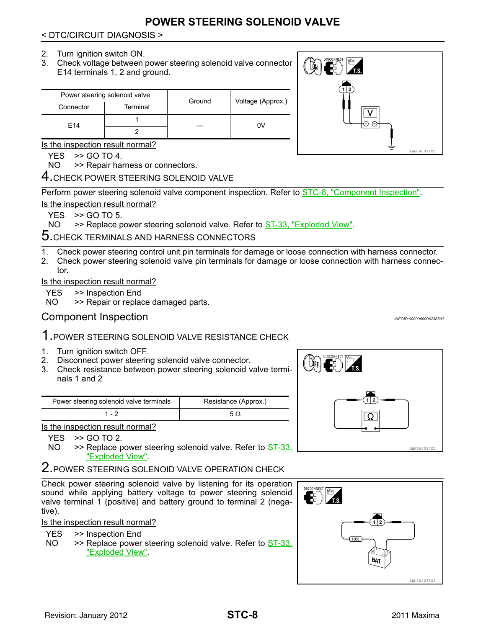# **POWER STEERING SOLENOID VALVE**

#### < DTC/CIRCUIT DIAGNOSIS >

#### 2. Turn ignition switch ON.

3. Check voltage between power steering solenoid valve connector E14 terminals 1, 2 and ground.

|                 | Power steering solenoid valve | Ground | Voltage (Approx.) |
|-----------------|-------------------------------|--------|-------------------|
| Connector       | Terminal                      |        |                   |
| F <sub>14</sub> |                               |        | 0V                |
|                 |                               |        |                   |

Is the inspection result normal?

 $YES$   $>>$  GO TO 4.

NO >> Repair harness or connectors.

4. CHECK POWER STEERING SOLENOID VALVE

Perform power steering solenoid valve component inspection. Refer to [STC-8, "Component Inspection"](#page-7-0). Is the inspection result normal?

 $YES \Rightarrow GOTO 5.$ 

NO  $\rightarrow$  > Replace power steering solenoid valve. Refer to  $ST-33$ , "Exploded View".

5.CHECK TERMINALS AND HARNESS CONNECTORS

1. Check power steering control unit pin terminals for damage or loose connection with harness connector.

2. Check power steering solenoid valve pin terminals for damage or loose connection with harness connector.

Is the inspection result normal?

- YES >> Inspection End
- NO >> Repair or replace damaged parts.

# <span id="page-7-0"></span>Component Inspection *INFOID:0000000006236501*

# 1.POWER STEERING SOLENOID VALVE RESISTANCE CHECK

- 1. Turn ignition switch OFF.
- 2. Disconnect power steering solenoid valve connector.
- 3. Check resistance between power steering solenoid valve terminals 1 and 2

| Power steering solenoid valve terminals | Resistance (Approx.) |
|-----------------------------------------|----------------------|
| 1 - 2                                   | 5 Q                  |

Is the inspection result normal?

YES >> GO TO 2.

NO  $\rightarrow$  > Replace power steering solenoid valve. Refer to  $ST-33$ , "Exploded View".

2. POWER STEERING SOLENOID VALVE OPERATION CHECK

Check power steering solenoid valve by listening for its operation sound while applying battery voltage to power steering solenoid valve terminal 1 (positive) and battery ground to terminal 2 (negative).

Is the inspection result normal?

YES >> Inspection End

NO  $\rightarrow$  > Replace power steering solenoid valve. Refer to  $ST-33$ , "Exploded View".



Ω

 $\left(\biguplus_{i=1}^n\mathbb{I}\right)$ 

E)P



AWGIA0037ZZ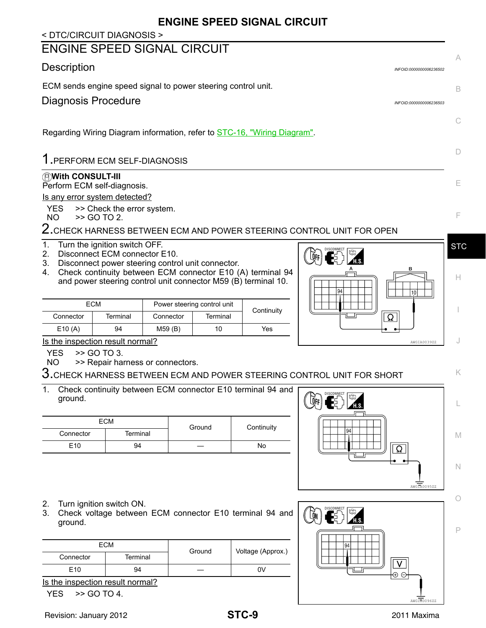# **ENGINE SPEED SIGNAL CIRCUIT**

#### <span id="page-8-2"></span><span id="page-8-1"></span><span id="page-8-0"></span>< DTC/CIRCUIT DIAGNOSIS > ENGINE SPEED SIGNAL CIRCUIT A Description *INFOID:0000000006236502* ECM sends engine speed signal to power steering control unit. B Diagnosis Procedure *INFOID:0000000006236503*  $\subset$ Regarding Wiring Diagram information, refer to **STC-16**, "Wiring Diagram". D 1.PERFORM ECM SELF-DIAGNOSIS **With CONSULT-III** E Perform ECM self-diagnosis. Is any error system detected?  $YES$   $\gt$  Check the error system.<br>NO  $\gt$  SO TO 2. F >> GO TO 2. 2. CHECK HARNESS BETWEEN ECM AND POWER STEERING CONTROL UNIT FOR OPEN 1. Turn the ignition switch OFF. **STC DISCONNECT** 2. Disconnect ECM connector E10.  $\left[\vec{0}\text{FE}\right]$ 3. Disconnect power steering control unit connector. 4. Check continuity between ECM connector E10 (A) terminal 94 H and power steering control unit connector M59 (B) terminal 10. ECM Power steering control unit<br>
Connector Terminal Connector Terminal Continuity I Ω E10 (A) 94 M59 (B) 10 Yes Is the inspection result normal? J AWGIA0039ZZ YES >> GO TO 3. NO >> Repair harness or connectors.  $3.$ CHECK HARNESS BETWEEN ECM AND POWER STEERING CONTROL UNIT FOR SHORT K 1. Check continuity between ECM connector E10 terminal 94 and ground. **LOFF** L ECM Connector **Terminal** Ground Continuity M E10 94 — No N AWGIA0095ZZ O 2. Turn ignition switch ON. 3. Check voltage between ECM connector E10 terminal 94 and . Côn ground. P **ECM** Connector Terminal Ground Voltage (Approx.) V E10 94 — 0V  $\oplus$   $\ominus$ Is the inspection result normal?  $YES$   $>>$  GO TO 4. AWGIA0096ZZ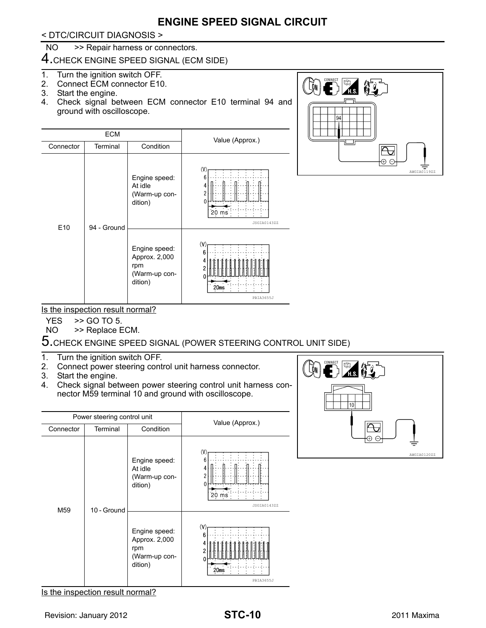# **ENGINE SPEED SIGNAL CIRCUIT**

< DTC/CIRCUIT DIAGNOSIS >

#### NO >> Repair harness or connectors.

4.CHECK ENGINE SPEED SIGNAL (ECM SIDE)

- 1. Turn the ignition switch OFF.
- 2. Connect ECM connector E10.
- 3. Start the engine.
- 4. Check signal between ECM connector E10 terminal 94 and ground with oscilloscope.





Is the inspection result normal?

YES >> GO TO 5.

NO >> Replace ECM.

 $5.$ CHECK ENGINE SPEED SIGNAL (POWER STEERING CONTROL UNIT SIDE)

- 1. Turn the ignition switch OFF.
- 2. Connect power steering control unit harness connector.
- 3. Start the engine.
- 4. Check signal between power steering control unit harness connector M59 terminal 10 and ground with oscilloscope.





Is the inspection result normal?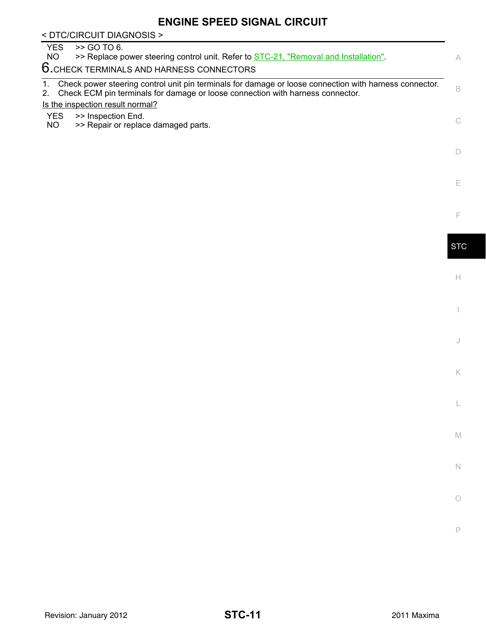# **ENGINE SPEED SIGNAL CIRCUIT**

| < DTC/CIRCUIT DIAGNOSIS >                                                                                                                                                                      |            |
|------------------------------------------------------------------------------------------------------------------------------------------------------------------------------------------------|------------|
| >> GO TO 6.<br>YES.<br>>> Replace power steering control unit. Refer to STC-21, "Removal and Installation".<br>NO                                                                              | A          |
| 6. CHECK TERMINALS AND HARNESS CONNECTORS                                                                                                                                                      |            |
| Check power steering control unit pin terminals for damage or loose connection with harness connector.<br>Check ECM pin terminals for damage or loose connection with harness connector.<br>2. | B          |
| Is the inspection result normal?                                                                                                                                                               |            |
| <b>YES</b><br>>> Inspection End.<br>NO.<br>>> Repair or replace damaged parts.                                                                                                                 |            |
|                                                                                                                                                                                                |            |
|                                                                                                                                                                                                | Е          |
|                                                                                                                                                                                                | F          |
|                                                                                                                                                                                                | <b>STC</b> |

 $\mathrel{\vdash}\mathrel{\vdash}$ 

I

J

K

L

M

N

O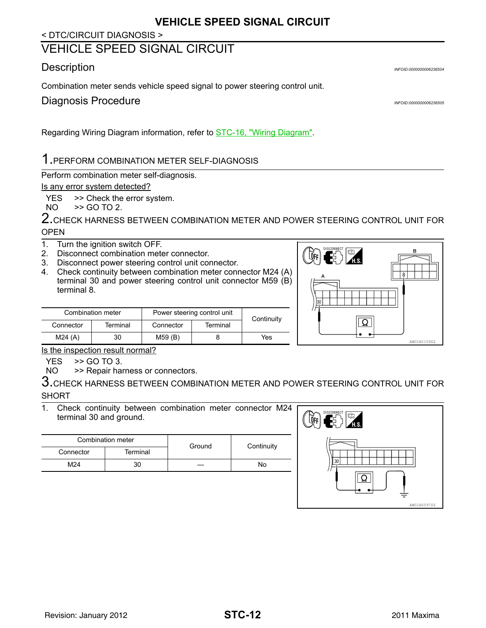#### < DTC/CIRCUIT DIAGNOSIS >

# <span id="page-11-0"></span>VEHICLE SPEED SIGNAL CIRCUIT

## <span id="page-11-1"></span>Description *INFOID:0000000006236504*

Combination meter sends vehicle speed signal to power steering control unit.

<span id="page-11-2"></span>**Diagnosis Procedure** *INFOID:000000000236505* 

Regarding Wiring Diagram information, refer to **STC-16, "Wiring Diagram"**.

# 1.PERFORM COMBINATION METER SELF-DIAGNOSIS

Perform combination meter self-diagnosis.

#### Is any error system detected?

YES >> Check the error system.

NO >> GO TO 2.

2.CHECK HARNESS BETWEEN COMBINATION METER AND POWER STEERING CONTROL UNIT FOR **OPEN** 

- 1. Turn the ignition switch OFF.
- 2. Disconnect combination meter connector.
- 3. Disconnect power steering control unit connector.
- 4. Check continuity between combination meter connector M24 (A) terminal 30 and power steering control unit connector M59 (B) terminal 8.

Combination meter Power steering control unit<br>
Connector Terminal Connector Terminal Continuity



Is the inspection result normal?

YES >> GO TO 3.

NO >> Repair harness or connectors.

 $3$ .CHECK HARNESS BETWEEN COMBINATION METER AND POWER STEERING CONTROL UNIT FOR **SHORT** 

1. Check continuity between combination meter connector M24 terminal 30 and ground.

| Combination meter |          | Ground | Continuity |  |
|-------------------|----------|--------|------------|--|
| Connector         | Terminal |        |            |  |
| M24               |          |        | No         |  |

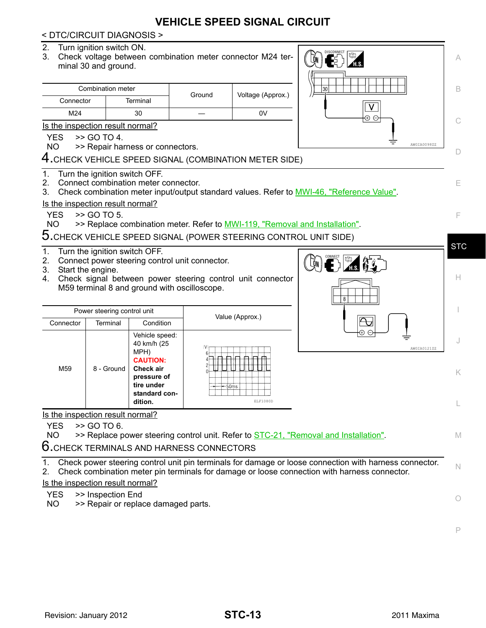# **VEHICLE SPEED SIGNAL CIRCUIT**

#### < DTC/CIRCUIT DIAGNOSIS >

- 2. Turn ignition switch ON.
- 3. Check voltage between combination meter connector M24 terminal 30 and ground.

|           | Combination meter | Ground | Voltage (Approx.) |  |
|-----------|-------------------|--------|-------------------|--|
| Connector | Terminal          |        |                   |  |
| M24       | 30                |        | 0V                |  |

Is the inspection result normal?

 $YES$   $>>$  GO TO 4.

NO >> Repair harness or connectors.

4.CHECK VEHICLE SPEED SIGNAL (COMBINATION METER SIDE)

1. Turn the ignition switch OFF.



- E 2. Connect combination meter connector. 3. Check combination meter input/output standard values. Refer to MWI-46, "Reference Value". Is the inspection result normal? YES >> GO TO 5. F NO >> Replace combination meter. Refer to MWI-119, "Removal and Installation". 5.CHECK VEHICLE SPEED SIGNAL (POWER STEERING CONTROL UNIT SIDE) **STC** 1. Turn the ignition switch OFF. 2. Connect power steering control unit connector. **LON** 3. Start the engine. 4. Check signal between power steering control unit connector H M59 terminal 8 and ground with oscilloscope. I Power steering control unit Value (Approx.) Connector Terminal Condition Vehicle speed: J 40 km/h (25 AWGIA0121ZZ MPH) **CAUTION:** M59 8 - Ground **Check air**  K **pressure of tire under standard condition.** ELF1080D L Is the inspection result normal?  $YES$   $>>$  GO TO 6. NO >> Replace power steering control unit. Refer to [STC-21, "Removal and Installation".](#page-20-2) M 6.CHECK TERMINALS AND HARNESS CONNECTORS 1. Check power steering control unit pin terminals for damage or loose connection with harness connector. N 2. Check combination meter pin terminals for damage or loose connection with harness connector. Is the inspection result normal? YES >> Inspection End O NO >> Repair or replace damaged parts.
	- P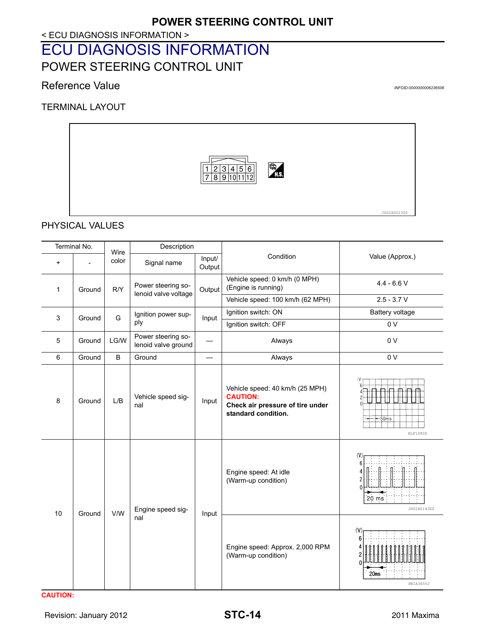< ECU DIAGNOSIS INFORMATION >

# <span id="page-13-1"></span><span id="page-13-0"></span>ECU DIAGNOSIS INFORMATION POWER STEERING CONTROL UNIT

## <span id="page-13-2"></span>Reference Value **Information Information** *INFOID:0000000006236506*

TERMINAL LAYOUT



PHYSICAL VALUES

| Terminal No. |        | Wire  | Description                                |                  |                                                                                                               |                                       |  |
|--------------|--------|-------|--------------------------------------------|------------------|---------------------------------------------------------------------------------------------------------------|---------------------------------------|--|
| $\ddot{}$    |        | color | Signal name                                | Input/<br>Output | Condition                                                                                                     | Value (Approx.)                       |  |
| $\mathbf{1}$ | Ground | R/Y   | Power steering so-<br>lenoid valve voltage | Output           | Vehicle speed: 0 km/h (0 MPH)<br>(Engine is running)                                                          | $4.4 - 6.6 V$                         |  |
|              |        |       |                                            |                  | Vehicle speed: 100 km/h (62 MPH)                                                                              | $2.5 - 3.7 V$                         |  |
| 3            | Ground | G     | Ignition power sup-<br>ply                 | Input            | Ignition switch: ON                                                                                           | <b>Battery voltage</b>                |  |
|              |        |       |                                            |                  | Ignition switch: OFF                                                                                          | 0 V                                   |  |
| 5            | Ground | LG/W  | Power steering so-<br>lenoid valve ground  |                  | Always                                                                                                        | 0 <sub>V</sub>                        |  |
| 6            | Ground | B     | Ground                                     |                  | Always                                                                                                        | 0 <sub>V</sub>                        |  |
| 8            | Ground | L/B   | Vehicle speed sig-<br>nal                  | Input            | Vehicle speed: 40 km/h (25 MPH)<br><b>CAUTION:</b><br>Check air pressure of tire under<br>standard condition. | (V)<br>$-50ms$<br>ELF1080D            |  |
| 10           | Ground | V/W   | Engine speed sig-<br>nal                   | Input            | Engine speed: At idle<br>(Warm-up condition)                                                                  | (V)<br>$20 \text{ ms}$<br>JSGIA0143ZZ |  |
|              |        |       |                                            |                  | Engine speed: Approx. 2,000 RPM<br>(Warm-up condition)                                                        | (V)<br>6<br>20ms<br>PBIA3655J         |  |

**CAUTION:**

Revision: January 2012 **2011 Maxima STC-14** 2011 Maxima

JSGIA0023ZZ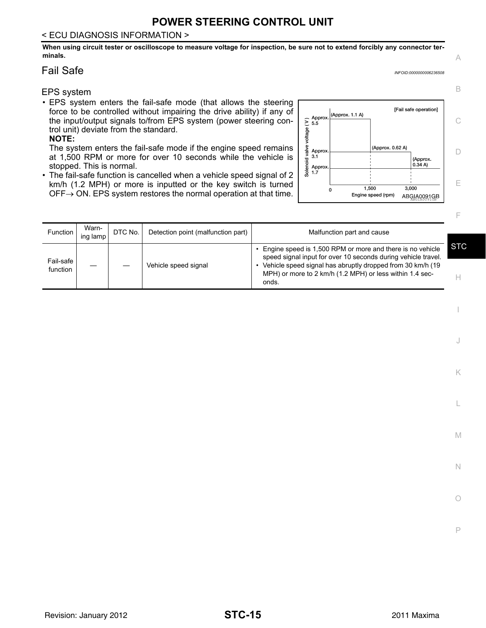# **POWER STEERING CONTROL UNIT**

#### < ECU DIAGNOSIS INFORMATION >

**When using circuit tester or oscilloscope to measure voltage for inspection, be sure not to extend forcibly any connector terminals.**

#### <span id="page-14-0"></span>Fail Safe *INFOID:0000000006236508*

#### EPS system

• EPS system enters the fail-safe mode (that allows the steering force to be controlled without impairing the drive ability) if any of the input/output signals to/from EPS system (power steering control unit) deviate from the standard.

#### **NOTE:**

The system enters the fail-safe mode if the engine speed remains at 1,500 RPM or more for over 10 seconds while the vehicle is stopped. This is normal.

• The fail-safe function is cancelled when a vehicle speed signal of 2 km/h (1.2 MPH) or more is inputted or the key switch is turned  $\overline{OFF} \rightarrow \overline{ON}$ . EPS system restores the normal operation at that time.  $\overline{OFF} \rightarrow \overline{ON}$ . ABGIA0091GB



| Function              | Warn-<br>ing lamp | DTC No. | Detection point (malfunction part) | Malfunction part and cause                                                                                                                                                                                                                                     |            |
|-----------------------|-------------------|---------|------------------------------------|----------------------------------------------------------------------------------------------------------------------------------------------------------------------------------------------------------------------------------------------------------------|------------|
| Fail-safe<br>function |                   |         | Vehicle speed signal               | Engine speed is 1,500 RPM or more and there is no vehicle<br>speed signal input for over 10 seconds during vehicle travel.<br>Vehicle speed signal has abruptly dropped from 30 km/h (19)<br>MPH) or more to 2 km/h (1.2 MPH) or less within 1.4 sec-<br>onds. | <b>STC</b> |

A

B

F

I

J

K

L

M

N

O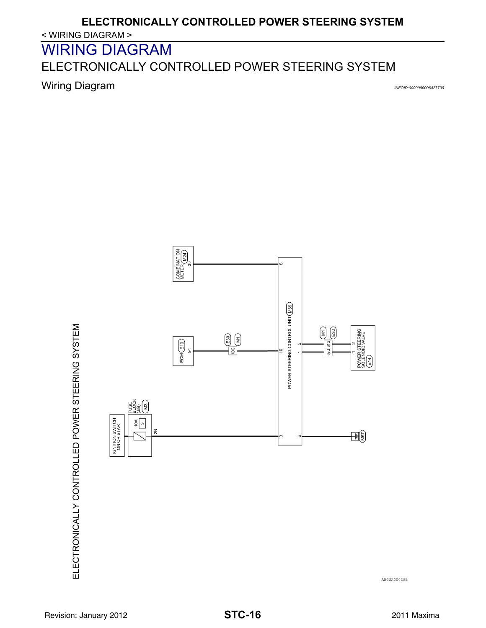# **ELECTRONICALLY CONTROLLED POWER STEERING SYSTEM**

< WIRING DIAGRAM >

<span id="page-15-0"></span>WIRING DIAGRAM

<span id="page-15-1"></span>ELECTRONICALLY CONTROLLED POWER STEERING SYSTEM

<span id="page-15-2"></span>**Wiring Diagram** *INFOID:000000006427799* 



ABGWA0002GB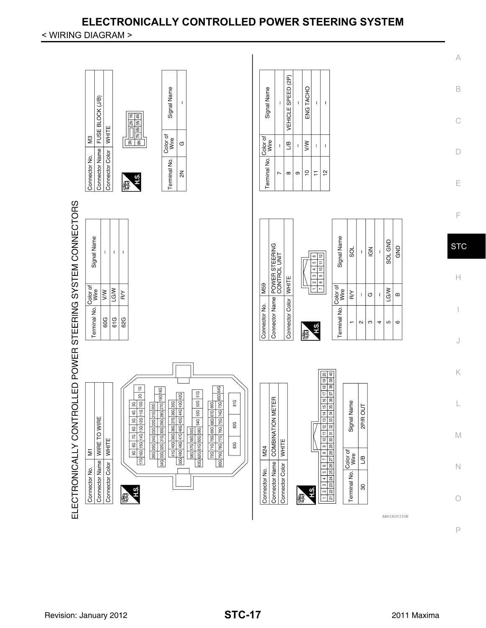# **ELECTRONICALLY CONTROLLED POWER STEERING SYSTEM**

< WIRING DIAGRAM >

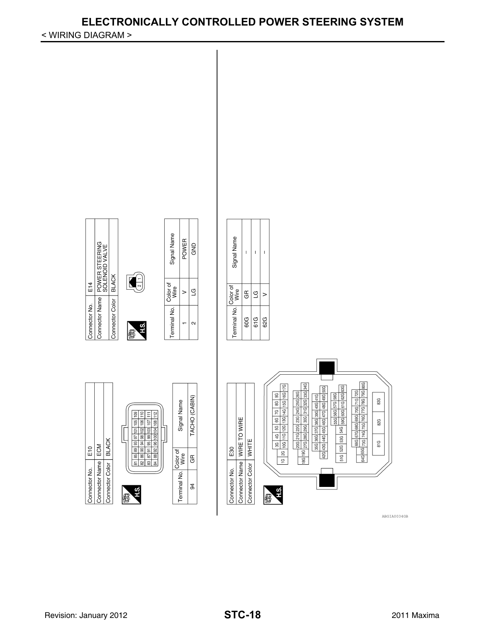# **ELECTRONICALLY CONTROLLED POWER STEERING SYSTEM**

 $\bar{\Gamma}$  $\bar{\rm I}$  $\overline{1}$ 

|ස  $\overline{c}$  $\geq$ 

< WIRING DIAGRAM >

 $E14$ 

Connector No.

Connector Color BLACK

مبر<br>ا

lg

Connector Name ECM

 $\frac{15}{2}$ 

Connector No.



Color of GR

Terminal No.  $\mathfrak{g}$ 



ABGIA0034GB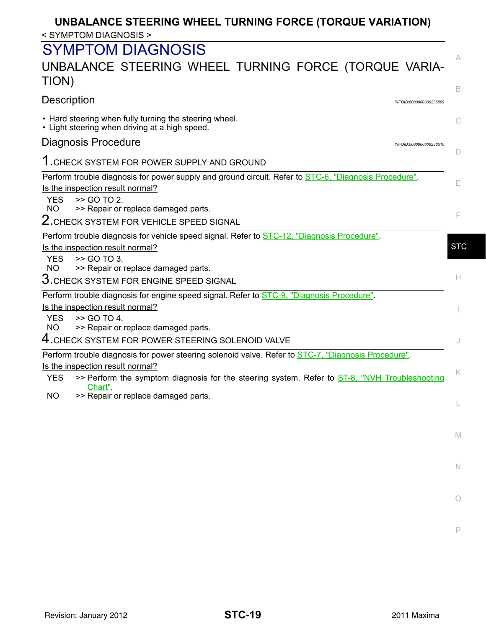# **UNBALANCE STEERING WHEEL TURNING FORCE (TORQUE VARIATION)** < SYMPTOM DIAGNOSIS >

# <span id="page-18-0"></span>SYMPTOM DIAGNOSIS

# <span id="page-18-1"></span>UNBALANCE STEERING WHEEL TURNING FORCE (TORQUE VARIA-TION)

<span id="page-18-3"></span><span id="page-18-2"></span>

|                                                                                                                                                                                                                                                                   | B          |
|-------------------------------------------------------------------------------------------------------------------------------------------------------------------------------------------------------------------------------------------------------------------|------------|
| <b>Description</b><br>INFOID:0000000006236509                                                                                                                                                                                                                     |            |
| • Hard steering when fully turning the steering wheel.<br>• Light steering when driving at a high speed.                                                                                                                                                          |            |
| Diagnosis Procedure<br>INFOID:0000000006236510                                                                                                                                                                                                                    |            |
| 1. CHECK SYSTEM FOR POWER SUPPLY AND GROUND                                                                                                                                                                                                                       |            |
| Perform trouble diagnosis for power supply and ground circuit. Refer to STC-6, "Diagnosis Procedure".<br>Is the inspection result normal?<br>>> GO TO 2.<br><b>YES</b>                                                                                            | Е          |
| <b>NO</b><br>>> Repair or replace damaged parts.<br>$2$ . CHECK SYSTEM FOR VEHICLE SPEED SIGNAL                                                                                                                                                                   | F          |
|                                                                                                                                                                                                                                                                   |            |
| Perform trouble diagnosis for vehicle speed signal. Refer to STC-12, "Diagnosis Procedure".<br>Is the inspection result normal?<br>>> GO TO 3.<br><b>YES</b>                                                                                                      | <b>STC</b> |
| <b>NO</b><br>>> Repair or replace damaged parts.<br>$3$ . CHECK SYSTEM FOR ENGINE SPEED SIGNAL                                                                                                                                                                    | Н.         |
| Perform trouble diagnosis for engine speed signal. Refer to <b>STC-9</b> , "Diagnosis Procedure".<br>Is the inspection result normal?<br>>> GO TO 4.<br><b>YES</b><br>>> Repair or replace damaged parts.<br>NO.                                                  |            |
| $\mathsf 4.$ CHECK SYSTEM FOR POWER STEERING SOLENOID VALVE                                                                                                                                                                                                       |            |
| Perform trouble diagnosis for power steering solenoid valve. Refer to STC-7, "Diagnosis Procedure".<br>Is the inspection result normal?<br>>> Perform the symptom diagnosis for the steering system. Refer to ST-8, "NVH Troubleshooting<br><b>YES</b><br>Chart". | K          |
| <b>NO</b><br>>> Repair or replace damaged parts.                                                                                                                                                                                                                  |            |
|                                                                                                                                                                                                                                                                   |            |
|                                                                                                                                                                                                                                                                   | M          |
|                                                                                                                                                                                                                                                                   | N          |
|                                                                                                                                                                                                                                                                   | О          |
|                                                                                                                                                                                                                                                                   |            |

P

A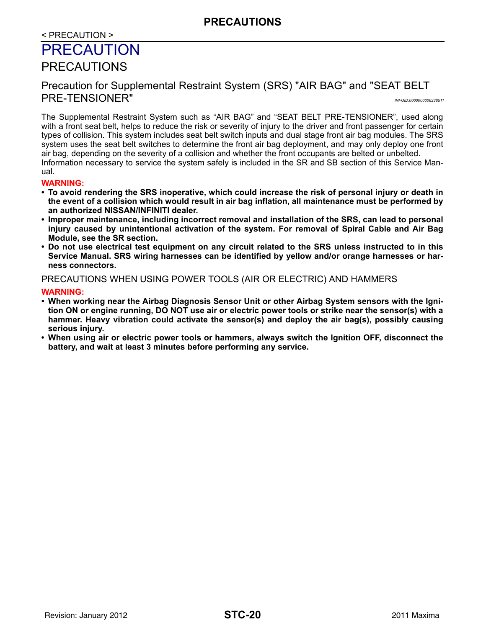#### < PRECAUTION >

# <span id="page-19-0"></span>PRECAUTION

## <span id="page-19-1"></span>PRECAUTIONS

## <span id="page-19-2"></span>Precaution for Supplemental Restraint System (SRS) "AIR BAG" and "SEAT BELT PRE-TENSIONER" *INFOID:0000000006236511*

The Supplemental Restraint System such as "AIR BAG" and "SEAT BELT PRE-TENSIONER", used along with a front seat belt, helps to reduce the risk or severity of injury to the driver and front passenger for certain types of collision. This system includes seat belt switch inputs and dual stage front air bag modules. The SRS system uses the seat belt switches to determine the front air bag deployment, and may only deploy one front air bag, depending on the severity of a collision and whether the front occupants are belted or unbelted. Information necessary to service the system safely is included in the SR and SB section of this Service Manual.

# **WARNING:**

- **To avoid rendering the SRS inoperative, which could increase the risk of personal injury or death in the event of a collision which would result in air bag inflation, all maintenance must be performed by an authorized NISSAN/INFINITI dealer.**
- **Improper maintenance, including incorrect removal and installation of the SRS, can lead to personal injury caused by unintentional activation of the system. For removal of Spiral Cable and Air Bag Module, see the SR section.**
- **Do not use electrical test equipment on any circuit related to the SRS unless instructed to in this Service Manual. SRS wiring harnesses can be identified by yellow and/or orange harnesses or harness connectors.**

#### PRECAUTIONS WHEN USING POWER TOOLS (AIR OR ELECTRIC) AND HAMMERS

#### **WARNING:**

- **When working near the Airbag Diagnosis Sensor Unit or other Airbag System sensors with the Ignition ON or engine running, DO NOT use air or electric power tools or strike near the sensor(s) with a hammer. Heavy vibration could activate the sensor(s) and deploy the air bag(s), possibly causing serious injury.**
- **When using air or electric power tools or hammers, always switch the Ignition OFF, disconnect the battery, and wait at least 3 minutes before performing any service.**